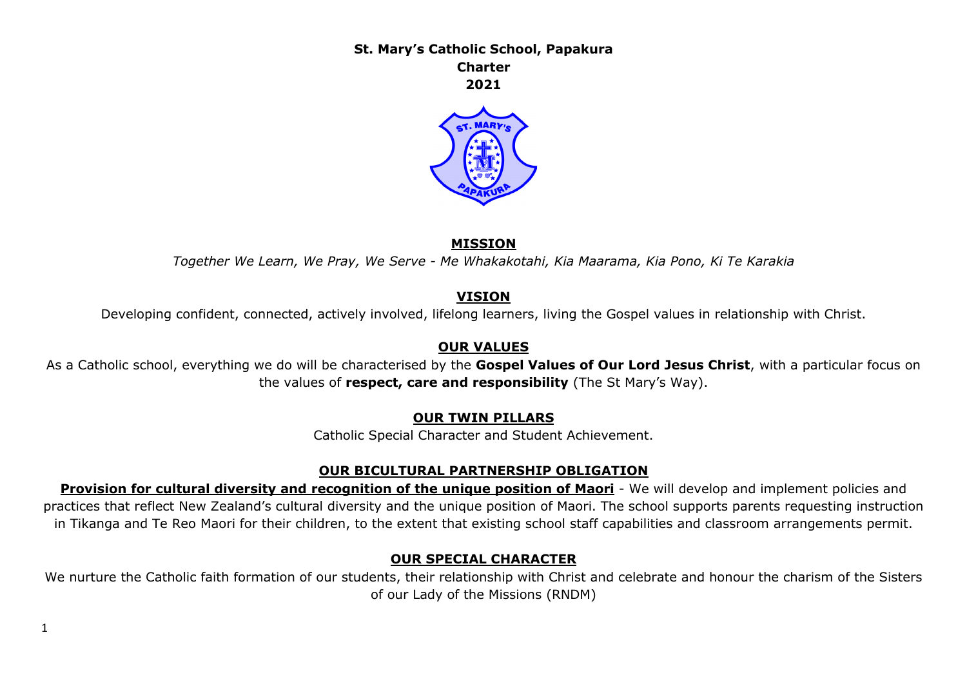**St. Mary's Catholic School, Papakura Charter 2021**



#### **MISSION**

*Together We Learn, We Pray, We Serve - Me Whakakotahi, Kia Maarama, Kia Pono, Ki Te Karakia*

#### **VISION**

Developing confident, connected, actively involved, lifelong learners, living the Gospel values in relationship with Christ.

### **OUR VALUES**

As a Catholic school, everything we do will be characterised by the **Gospel Values of Our Lord Jesus Christ**, with a particular focus on the values of **respect, care and responsibility** (The St Mary's Way).

### **OUR TWIN PILLARS**

Catholic Special Character and Student Achievement.

### **OUR BICULTURAL PARTNERSHIP OBLIGATION**

**Provision for cultural diversity and recognition of the unique position of Maori** - We will develop and implement policies and practices that reflect New Zealand's cultural diversity and the unique position of Maori. The school supports parents requesting instruction in Tikanga and Te Reo Maori for their children, to the extent that existing school staff capabilities and classroom arrangements permit.

### **OUR SPECIAL CHARACTER**

We nurture the Catholic faith formation of our students, their relationship with Christ and celebrate and honour the charism of the Sisters of our Lady of the Missions (RNDM)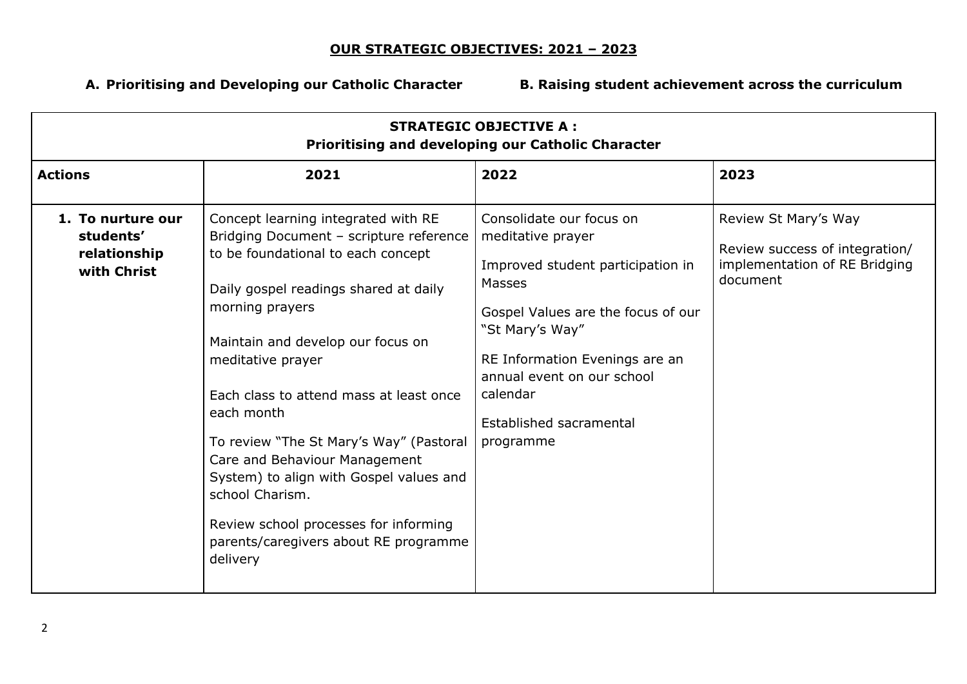## **OUR STRATEGIC OBJECTIVES: 2021 – 2023**

**A. Prioritising and Developing our Catholic Character B. Raising student achievement across the curriculum**

| <b>STRATEGIC OBJECTIVE A:</b><br>Prioritising and developing our Catholic Character |                                                                                                                                                                                                                                                                                                                                                                                                                                                                                                                                             |                                                                                                                                                                                                                                                                           |                                                                                                     |  |  |
|-------------------------------------------------------------------------------------|---------------------------------------------------------------------------------------------------------------------------------------------------------------------------------------------------------------------------------------------------------------------------------------------------------------------------------------------------------------------------------------------------------------------------------------------------------------------------------------------------------------------------------------------|---------------------------------------------------------------------------------------------------------------------------------------------------------------------------------------------------------------------------------------------------------------------------|-----------------------------------------------------------------------------------------------------|--|--|
| <b>Actions</b>                                                                      | 2021                                                                                                                                                                                                                                                                                                                                                                                                                                                                                                                                        | 2022                                                                                                                                                                                                                                                                      | 2023                                                                                                |  |  |
| 1. To nurture our<br>students'<br>relationship<br>with Christ                       | Concept learning integrated with RE<br>Bridging Document - scripture reference<br>to be foundational to each concept<br>Daily gospel readings shared at daily<br>morning prayers<br>Maintain and develop our focus on<br>meditative prayer<br>Each class to attend mass at least once<br>each month<br>To review "The St Mary's Way" (Pastoral<br>Care and Behaviour Management<br>System) to align with Gospel values and<br>school Charism.<br>Review school processes for informing<br>parents/caregivers about RE programme<br>delivery | Consolidate our focus on<br>meditative prayer<br>Improved student participation in<br>Masses<br>Gospel Values are the focus of our<br>"St Mary's Way"<br>RE Information Evenings are an<br>annual event on our school<br>calendar<br>Established sacramental<br>programme | Review St Mary's Way<br>Review success of integration/<br>implementation of RE Bridging<br>document |  |  |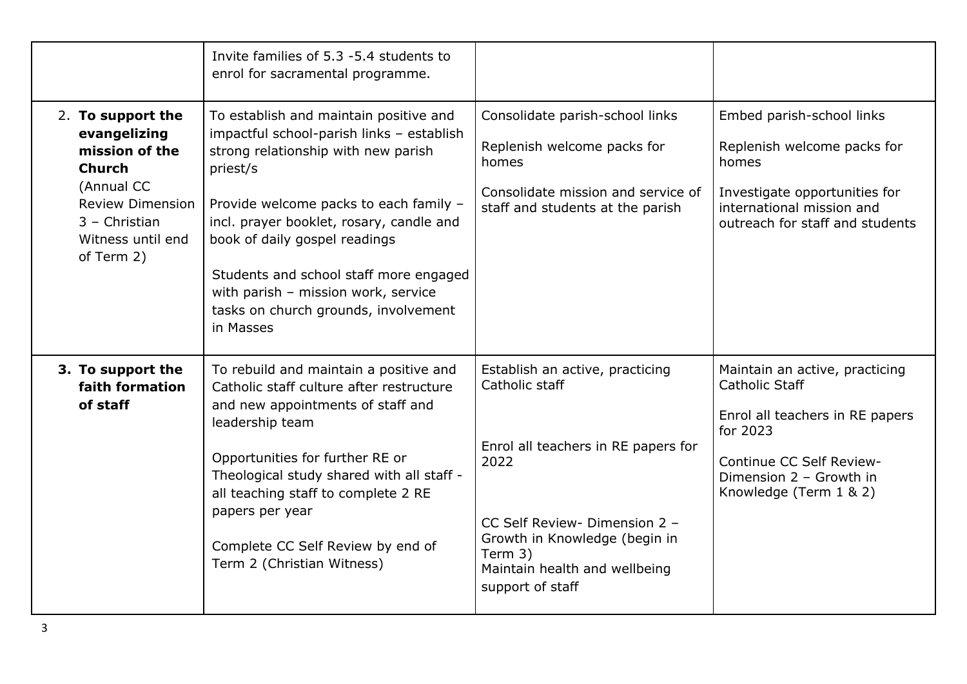|                                                                                                                                                                     | Invite families of 5.3 -5.4 students to<br>enrol for sacramental programme.                                                                                                                                                                                                                                                                                                                         |                                                                                                                                                                                                                                    |                                                                                                                                                                                         |
|---------------------------------------------------------------------------------------------------------------------------------------------------------------------|-----------------------------------------------------------------------------------------------------------------------------------------------------------------------------------------------------------------------------------------------------------------------------------------------------------------------------------------------------------------------------------------------------|------------------------------------------------------------------------------------------------------------------------------------------------------------------------------------------------------------------------------------|-----------------------------------------------------------------------------------------------------------------------------------------------------------------------------------------|
| 2. To support the<br>evangelizing<br>mission of the<br><b>Church</b><br>(Annual CC<br><b>Review Dimension</b><br>$3 -$ Christian<br>Witness until end<br>of Term 2) | To establish and maintain positive and<br>impactful school-parish links - establish<br>strong relationship with new parish<br>priest/s<br>Provide welcome packs to each family -<br>incl. prayer booklet, rosary, candle and<br>book of daily gospel readings<br>Students and school staff more engaged<br>with parish - mission work, service<br>tasks on church grounds, involvement<br>in Masses | Consolidate parish-school links<br>Replenish welcome packs for<br>homes<br>Consolidate mission and service of<br>staff and students at the parish                                                                                  | Embed parish-school links<br>Replenish welcome packs for<br>homes<br>Investigate opportunities for<br>international mission and<br>outreach for staff and students                      |
| 3. To support the<br>faith formation<br>of staff                                                                                                                    | To rebuild and maintain a positive and<br>Catholic staff culture after restructure<br>and new appointments of staff and<br>leadership team<br>Opportunities for further RE or<br>Theological study shared with all staff -<br>all teaching staff to complete 2 RE<br>papers per year<br>Complete CC Self Review by end of<br>Term 2 (Christian Witness)                                             | Establish an active, practicing<br>Catholic staff<br>Enrol all teachers in RE papers for<br>2022<br>CC Self Review- Dimension 2 -<br>Growth in Knowledge (begin in<br>Term 3)<br>Maintain health and wellbeing<br>support of staff | Maintain an active, practicing<br><b>Catholic Staff</b><br>Enrol all teachers in RE papers<br>for 2023<br>Continue CC Self Review-<br>Dimension 2 - Growth in<br>Knowledge (Term 1 & 2) |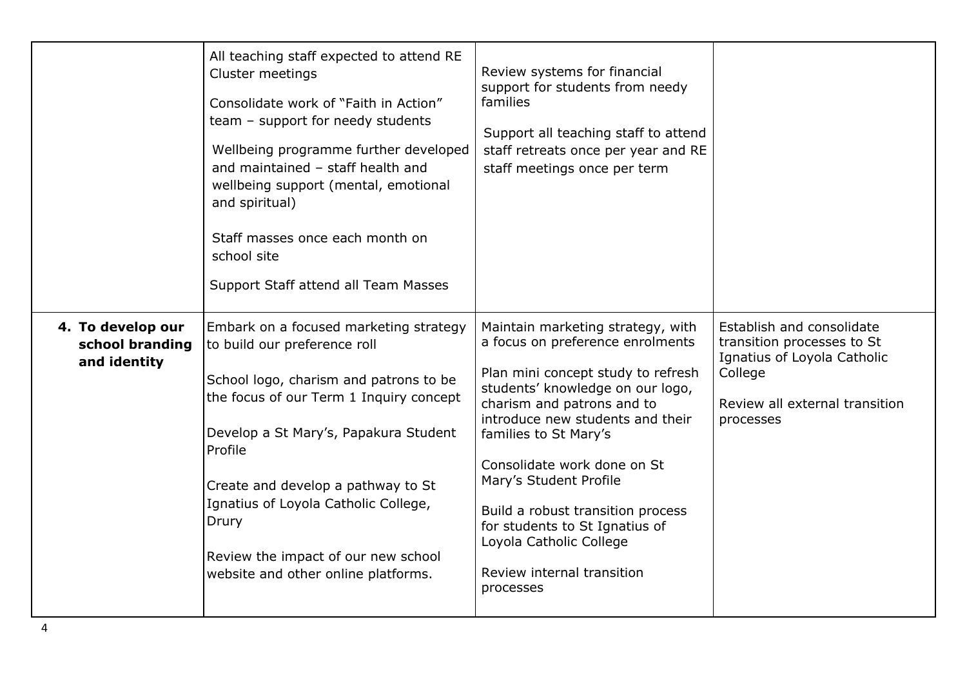|                                                      | All teaching staff expected to attend RE<br>Cluster meetings<br>Consolidate work of "Faith in Action"<br>team - support for needy students<br>Wellbeing programme further developed<br>and maintained - staff health and<br>wellbeing support (mental, emotional<br>and spiritual)<br>Staff masses once each month on<br>school site<br>Support Staff attend all Team Masses         | Review systems for financial<br>support for students from needy<br>families<br>Support all teaching staff to attend<br>staff retreats once per year and RE<br>staff meetings once per term                                                                                                                                                                                                                                                       |                                                                                                                                                  |
|------------------------------------------------------|--------------------------------------------------------------------------------------------------------------------------------------------------------------------------------------------------------------------------------------------------------------------------------------------------------------------------------------------------------------------------------------|--------------------------------------------------------------------------------------------------------------------------------------------------------------------------------------------------------------------------------------------------------------------------------------------------------------------------------------------------------------------------------------------------------------------------------------------------|--------------------------------------------------------------------------------------------------------------------------------------------------|
| 4. To develop our<br>school branding<br>and identity | Embark on a focused marketing strategy<br>to build our preference roll<br>School logo, charism and patrons to be<br>the focus of our Term 1 Inquiry concept<br>Develop a St Mary's, Papakura Student<br>Profile<br>Create and develop a pathway to St<br>Ignatius of Loyola Catholic College,<br>Drury<br>Review the impact of our new school<br>website and other online platforms. | Maintain marketing strategy, with<br>a focus on preference enrolments<br>Plan mini concept study to refresh<br>students' knowledge on our logo,<br>charism and patrons and to<br>introduce new students and their<br>families to St Mary's<br>Consolidate work done on St<br>Mary's Student Profile<br>Build a robust transition process<br>for students to St Ignatius of<br>Loyola Catholic College<br>Review internal transition<br>processes | Establish and consolidate<br>transition processes to St<br>Ignatius of Loyola Catholic<br>College<br>Review all external transition<br>processes |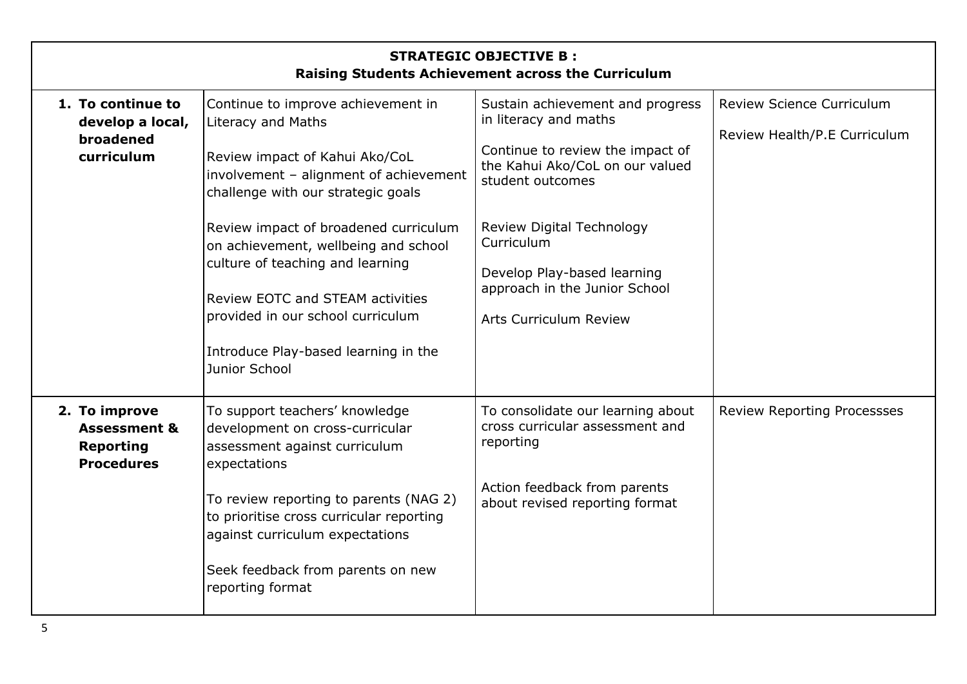| <b>STRATEGIC OBJECTIVE B:</b><br>Raising Students Achievement across the Curriculum |                                                                                                                                                                                                                                                                                                                                                                                                                                                 |                                                                                                                                                                                                                                                                                                  |                                                                  |  |  |  |
|-------------------------------------------------------------------------------------|-------------------------------------------------------------------------------------------------------------------------------------------------------------------------------------------------------------------------------------------------------------------------------------------------------------------------------------------------------------------------------------------------------------------------------------------------|--------------------------------------------------------------------------------------------------------------------------------------------------------------------------------------------------------------------------------------------------------------------------------------------------|------------------------------------------------------------------|--|--|--|
| 1. To continue to<br>develop a local,<br>broadened<br>curriculum                    | Continue to improve achievement in<br><b>Literacy and Maths</b><br>Review impact of Kahui Ako/CoL<br>involvement - alignment of achievement<br>challenge with our strategic goals<br>Review impact of broadened curriculum<br>on achievement, wellbeing and school<br>culture of teaching and learning<br><b>Review EOTC and STEAM activities</b><br>provided in our school curriculum<br>Introduce Play-based learning in the<br>Junior School | Sustain achievement and progress<br>in literacy and maths<br>Continue to review the impact of<br>the Kahui Ako/CoL on our valued<br>student outcomes<br>Review Digital Technology<br>Curriculum<br>Develop Play-based learning<br>approach in the Junior School<br><b>Arts Curriculum Review</b> | <b>Review Science Curriculum</b><br>Review Health/P.E Curriculum |  |  |  |
| 2. To improve<br><b>Assessment &amp;</b><br><b>Reporting</b><br><b>Procedures</b>   | To support teachers' knowledge<br>development on cross-curricular<br>assessment against curriculum<br>expectations<br>To review reporting to parents (NAG 2)<br>to prioritise cross curricular reporting<br>against curriculum expectations<br>Seek feedback from parents on new<br>reporting format                                                                                                                                            | To consolidate our learning about<br>cross curricular assessment and<br>reporting<br>Action feedback from parents<br>about revised reporting format                                                                                                                                              | <b>Review Reporting Processses</b>                               |  |  |  |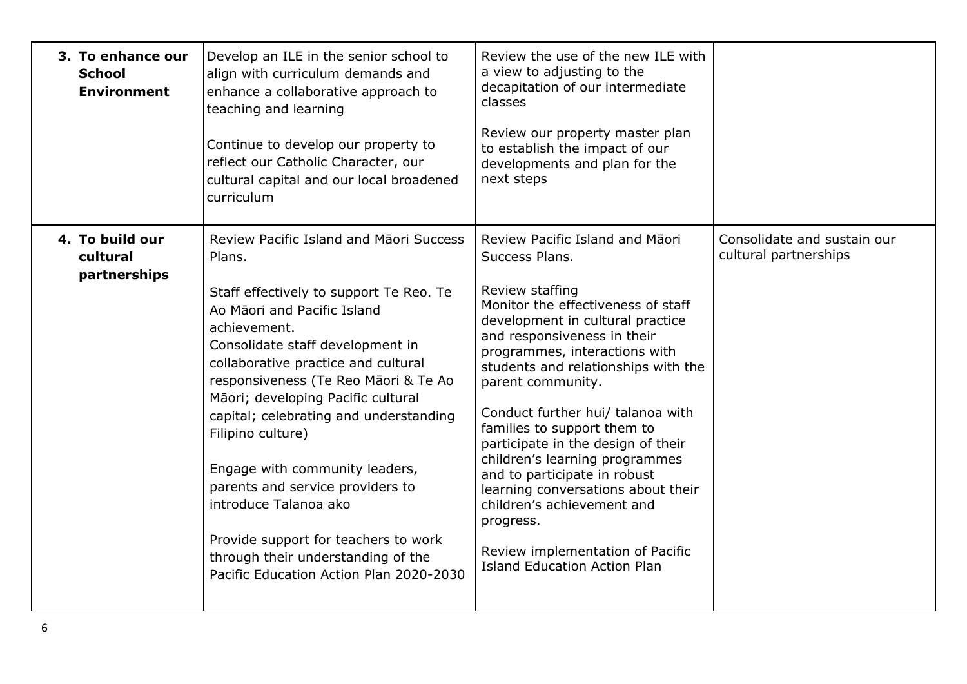| 3. To enhance our<br><b>School</b><br><b>Environment</b> | Develop an ILE in the senior school to<br>align with curriculum demands and<br>enhance a collaborative approach to<br>teaching and learning<br>Continue to develop our property to<br>reflect our Catholic Character, our<br>cultural capital and our local broadened<br>curriculum                                                                                                                                                                                                                                                                                                         | Review the use of the new ILE with<br>a view to adjusting to the<br>decapitation of our intermediate<br>classes<br>Review our property master plan<br>to establish the impact of our<br>developments and plan for the<br>next steps                                                                                                                                                                                                                                                                                                                                                                                |                                                      |
|----------------------------------------------------------|---------------------------------------------------------------------------------------------------------------------------------------------------------------------------------------------------------------------------------------------------------------------------------------------------------------------------------------------------------------------------------------------------------------------------------------------------------------------------------------------------------------------------------------------------------------------------------------------|--------------------------------------------------------------------------------------------------------------------------------------------------------------------------------------------------------------------------------------------------------------------------------------------------------------------------------------------------------------------------------------------------------------------------------------------------------------------------------------------------------------------------------------------------------------------------------------------------------------------|------------------------------------------------------|
| 4. To build our<br>cultural<br>partnerships              | Review Pacific Island and Maori Success<br>Plans.<br>Staff effectively to support Te Reo. Te<br>Ao Māori and Pacific Island<br>achievement.<br>Consolidate staff development in<br>collaborative practice and cultural<br>responsiveness (Te Reo Māori & Te Ao<br>Māori; developing Pacific cultural<br>capital; celebrating and understanding<br>Filipino culture)<br>Engage with community leaders,<br>parents and service providers to<br>introduce Talanoa ako<br>Provide support for teachers to work<br>through their understanding of the<br>Pacific Education Action Plan 2020-2030 | Review Pacific Island and Māori<br>Success Plans.<br>Review staffing<br>Monitor the effectiveness of staff<br>development in cultural practice<br>and responsiveness in their<br>programmes, interactions with<br>students and relationships with the<br>parent community.<br>Conduct further hui/ talanoa with<br>families to support them to<br>participate in the design of their<br>children's learning programmes<br>and to participate in robust<br>learning conversations about their<br>children's achievement and<br>progress.<br>Review implementation of Pacific<br><b>Island Education Action Plan</b> | Consolidate and sustain our<br>cultural partnerships |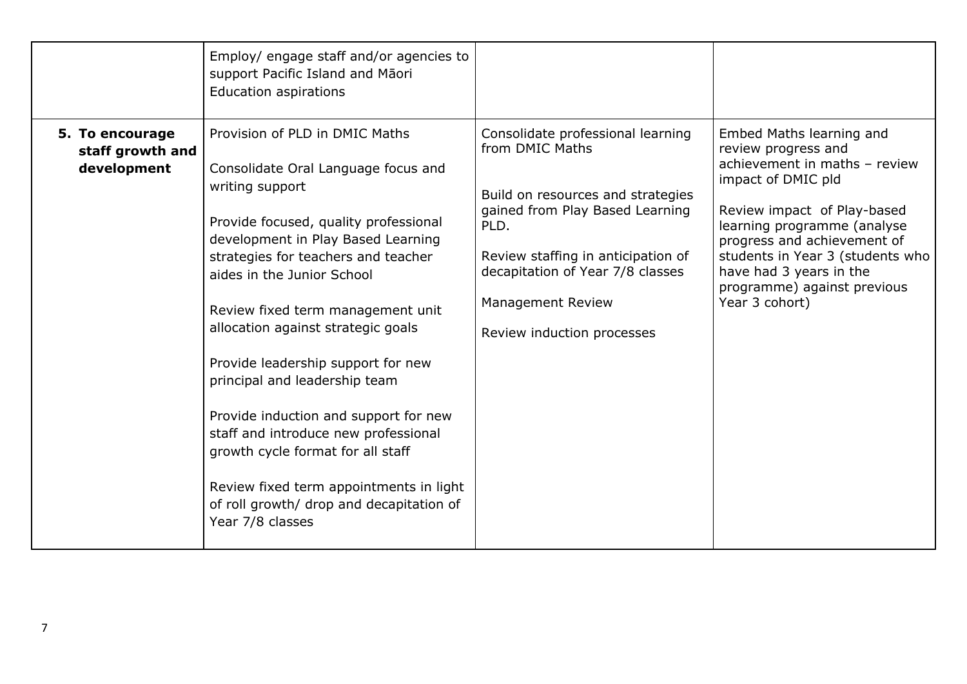|                                                    | Employ/ engage staff and/or agencies to<br>support Pacific Island and Māori<br><b>Education aspirations</b>                                                                                                                                                                                                                                                                                                                                                                                                                                                                                                                     |                                                                                                                                                                                                                                                                          |                                                                                                                                                                                                                                                                                                                     |
|----------------------------------------------------|---------------------------------------------------------------------------------------------------------------------------------------------------------------------------------------------------------------------------------------------------------------------------------------------------------------------------------------------------------------------------------------------------------------------------------------------------------------------------------------------------------------------------------------------------------------------------------------------------------------------------------|--------------------------------------------------------------------------------------------------------------------------------------------------------------------------------------------------------------------------------------------------------------------------|---------------------------------------------------------------------------------------------------------------------------------------------------------------------------------------------------------------------------------------------------------------------------------------------------------------------|
| 5. To encourage<br>staff growth and<br>development | Provision of PLD in DMIC Maths<br>Consolidate Oral Language focus and<br>writing support<br>Provide focused, quality professional<br>development in Play Based Learning<br>strategies for teachers and teacher<br>aides in the Junior School<br>Review fixed term management unit<br>allocation against strategic goals<br>Provide leadership support for new<br>principal and leadership team<br>Provide induction and support for new<br>staff and introduce new professional<br>growth cycle format for all staff<br>Review fixed term appointments in light<br>of roll growth/ drop and decapitation of<br>Year 7/8 classes | Consolidate professional learning<br>from DMIC Maths<br>Build on resources and strategies<br>gained from Play Based Learning<br>PLD.<br>Review staffing in anticipation of<br>decapitation of Year 7/8 classes<br><b>Management Review</b><br>Review induction processes | Embed Maths learning and<br>review progress and<br>achievement in maths - review<br>impact of DMIC pld<br>Review impact of Play-based<br>learning programme (analyse<br>progress and achievement of<br>students in Year 3 (students who<br>have had 3 years in the<br>programme) against previous<br>Year 3 cohort) |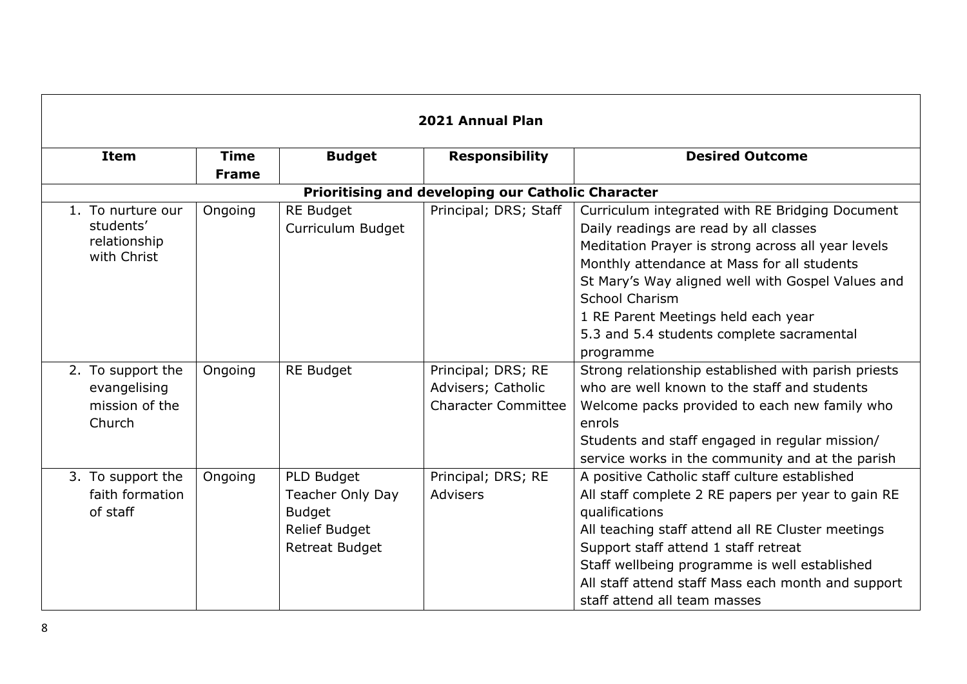| 2021 Annual Plan            |              |                         |                                                    |                                                     |  |
|-----------------------------|--------------|-------------------------|----------------------------------------------------|-----------------------------------------------------|--|
| <b>Item</b>                 | <b>Time</b>  | <b>Budget</b>           | <b>Responsibility</b>                              | <b>Desired Outcome</b>                              |  |
|                             | <b>Frame</b> |                         |                                                    |                                                     |  |
|                             |              |                         | Prioritising and developing our Catholic Character |                                                     |  |
| 1. To nurture our           | Ongoing      | <b>RE Budget</b>        | Principal; DRS; Staff                              | Curriculum integrated with RE Bridging Document     |  |
| students'                   |              | Curriculum Budget       |                                                    | Daily readings are read by all classes              |  |
| relationship<br>with Christ |              |                         |                                                    | Meditation Prayer is strong across all year levels  |  |
|                             |              |                         |                                                    | Monthly attendance at Mass for all students         |  |
|                             |              |                         |                                                    | St Mary's Way aligned well with Gospel Values and   |  |
|                             |              |                         |                                                    | <b>School Charism</b>                               |  |
|                             |              |                         |                                                    | 1 RE Parent Meetings held each year                 |  |
|                             |              |                         |                                                    | 5.3 and 5.4 students complete sacramental           |  |
|                             |              |                         |                                                    | programme                                           |  |
| 2. To support the           | Ongoing      | <b>RE Budget</b>        | Principal; DRS; RE                                 | Strong relationship established with parish priests |  |
| evangelising                |              |                         | Advisers; Catholic                                 | who are well known to the staff and students        |  |
| mission of the              |              |                         | <b>Character Committee</b>                         | Welcome packs provided to each new family who       |  |
| Church                      |              |                         |                                                    | enrols                                              |  |
|                             |              |                         |                                                    | Students and staff engaged in regular mission/      |  |
|                             |              |                         |                                                    | service works in the community and at the parish    |  |
| 3. To support the           | Ongoing      | PLD Budget              | Principal; DRS; RE                                 | A positive Catholic staff culture established       |  |
| faith formation             |              | <b>Teacher Only Day</b> | <b>Advisers</b>                                    | All staff complete 2 RE papers per year to gain RE  |  |
| of staff                    |              | <b>Budget</b>           |                                                    | qualifications                                      |  |
|                             |              | <b>Relief Budget</b>    |                                                    | All teaching staff attend all RE Cluster meetings   |  |
|                             |              | <b>Retreat Budget</b>   |                                                    | Support staff attend 1 staff retreat                |  |
|                             |              |                         |                                                    | Staff wellbeing programme is well established       |  |
|                             |              |                         |                                                    | All staff attend staff Mass each month and support  |  |
|                             |              |                         |                                                    | staff attend all team masses                        |  |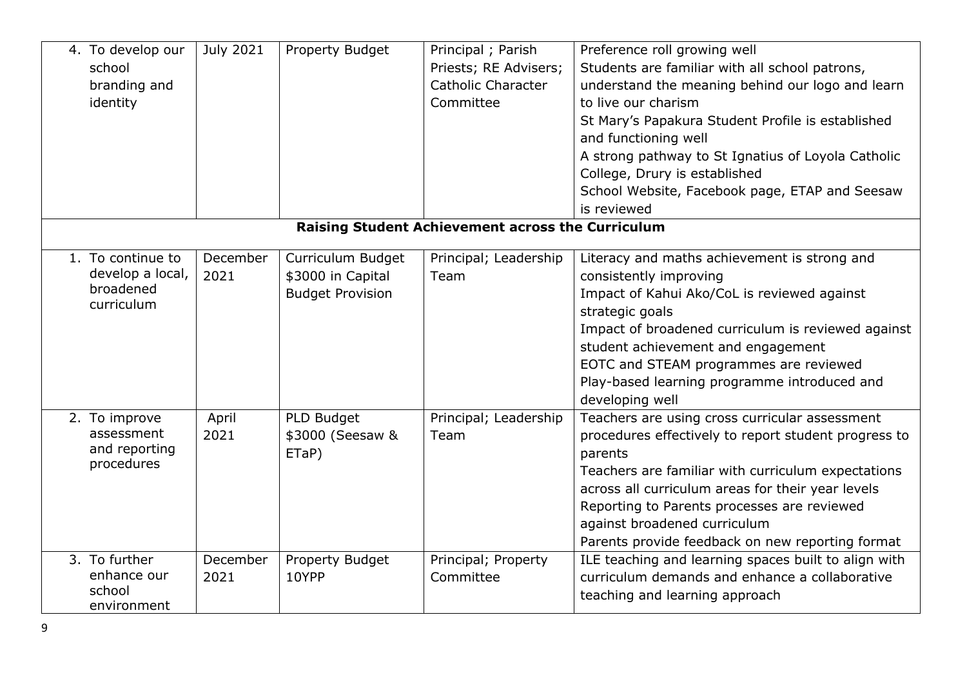| 4. To develop our<br>school<br>branding and<br>identity          | July 2021        | <b>Property Budget</b>                                            | Principal; Parish<br>Priests; RE Advisers;<br><b>Catholic Character</b><br>Committee | Preference roll growing well<br>Students are familiar with all school patrons,<br>understand the meaning behind our logo and learn<br>to live our charism<br>St Mary's Papakura Student Profile is established<br>and functioning well<br>A strong pathway to St Ignatius of Loyola Catholic<br>College, Drury is established<br>School Website, Facebook page, ETAP and Seesaw |
|------------------------------------------------------------------|------------------|-------------------------------------------------------------------|--------------------------------------------------------------------------------------|---------------------------------------------------------------------------------------------------------------------------------------------------------------------------------------------------------------------------------------------------------------------------------------------------------------------------------------------------------------------------------|
|                                                                  |                  |                                                                   |                                                                                      | is reviewed                                                                                                                                                                                                                                                                                                                                                                     |
|                                                                  |                  |                                                                   | Raising Student Achievement across the Curriculum                                    |                                                                                                                                                                                                                                                                                                                                                                                 |
| 1. To continue to<br>develop a local,<br>broadened<br>curriculum | December<br>2021 | Curriculum Budget<br>\$3000 in Capital<br><b>Budget Provision</b> | Principal; Leadership<br>Team                                                        | Literacy and maths achievement is strong and<br>consistently improving<br>Impact of Kahui Ako/CoL is reviewed against<br>strategic goals<br>Impact of broadened curriculum is reviewed against<br>student achievement and engagement<br>EOTC and STEAM programmes are reviewed<br>Play-based learning programme introduced and<br>developing well                               |
| 2. To improve<br>assessment<br>and reporting<br>procedures       | April<br>2021    | PLD Budget<br>\$3000 (Seesaw &<br>ETaP)                           | Principal; Leadership<br>Team                                                        | Teachers are using cross curricular assessment<br>procedures effectively to report student progress to<br>parents<br>Teachers are familiar with curriculum expectations<br>across all curriculum areas for their year levels<br>Reporting to Parents processes are reviewed<br>against broadened curriculum<br>Parents provide feedback on new reporting format                 |
| 3. To further<br>enhance our<br>school<br>environment            | December<br>2021 | Property Budget<br>10YPP                                          | Principal; Property<br>Committee                                                     | ILE teaching and learning spaces built to align with<br>curriculum demands and enhance a collaborative<br>teaching and learning approach                                                                                                                                                                                                                                        |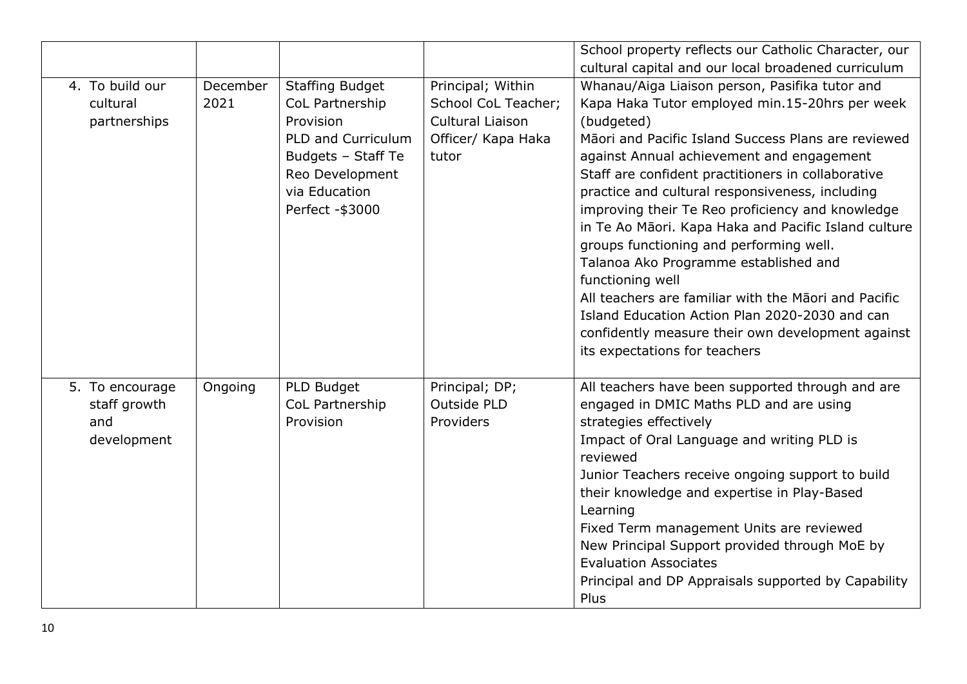|                 |          |                        |                     | School property reflects our Catholic Character, our |
|-----------------|----------|------------------------|---------------------|------------------------------------------------------|
|                 |          |                        |                     | cultural capital and our local broadened curriculum  |
| 4. To build our | December | <b>Staffing Budget</b> | Principal; Within   | Whanau/Aiga Liaison person, Pasifika tutor and       |
| cultural        | 2021     | CoL Partnership        | School CoL Teacher; | Kapa Haka Tutor employed min.15-20hrs per week       |
| partnerships    |          | Provision              | Cultural Liaison    | (budgeted)                                           |
|                 |          | PLD and Curriculum     | Officer/ Kapa Haka  | Māori and Pacific Island Success Plans are reviewed  |
|                 |          | Budgets - Staff Te     | tutor               | against Annual achievement and engagement            |
|                 |          | Reo Development        |                     | Staff are confident practitioners in collaborative   |
|                 |          | via Education          |                     | practice and cultural responsiveness, including      |
|                 |          | Perfect - \$3000       |                     | improving their Te Reo proficiency and knowledge     |
|                 |          |                        |                     | in Te Ao Māori. Kapa Haka and Pacific Island culture |
|                 |          |                        |                     | groups functioning and performing well.              |
|                 |          |                        |                     | Talanoa Ako Programme established and                |
|                 |          |                        |                     | functioning well                                     |
|                 |          |                        |                     | All teachers are familiar with the Maori and Pacific |
|                 |          |                        |                     | Island Education Action Plan 2020-2030 and can       |
|                 |          |                        |                     | confidently measure their own development against    |
|                 |          |                        |                     | its expectations for teachers                        |
|                 |          |                        |                     |                                                      |
| 5. To encourage | Ongoing  | PLD Budget             | Principal; DP;      | All teachers have been supported through and are     |
| staff growth    |          | CoL Partnership        | Outside PLD         | engaged in DMIC Maths PLD and are using              |
| and             |          | Provision              | Providers           | strategies effectively                               |
| development     |          |                        |                     | Impact of Oral Language and writing PLD is           |
|                 |          |                        |                     | reviewed                                             |
|                 |          |                        |                     | Junior Teachers receive ongoing support to build     |
|                 |          |                        |                     | their knowledge and expertise in Play-Based          |
|                 |          |                        |                     | Learning                                             |
|                 |          |                        |                     | Fixed Term management Units are reviewed             |
|                 |          |                        |                     | New Principal Support provided through MoE by        |
|                 |          |                        |                     | <b>Evaluation Associates</b>                         |
|                 |          |                        |                     | Principal and DP Appraisals supported by Capability  |
|                 |          |                        |                     | Plus                                                 |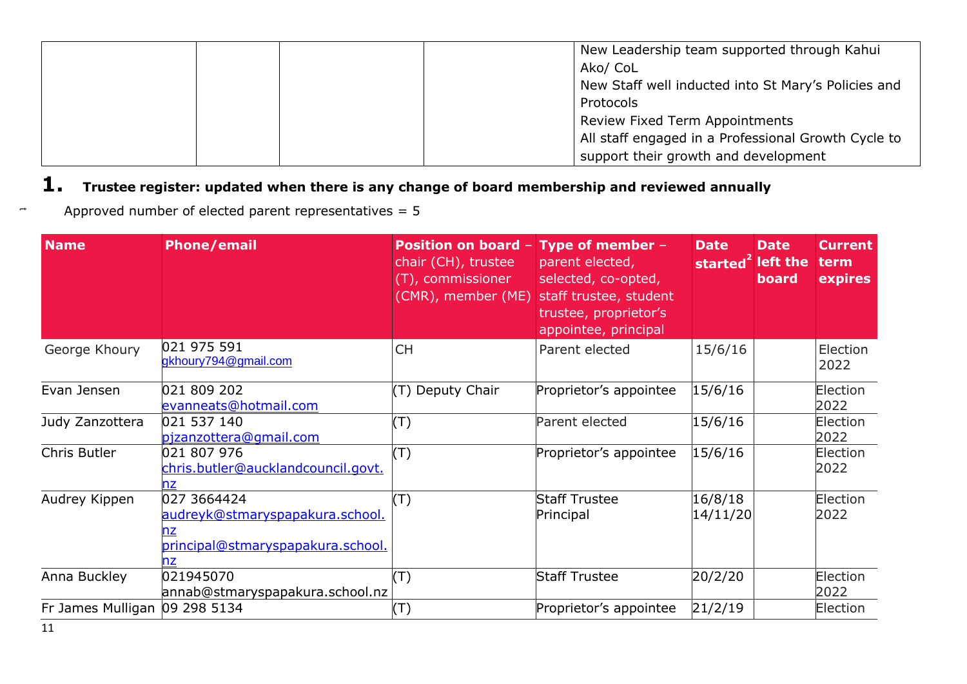|  | New Leadership team supported through Kahui         |
|--|-----------------------------------------------------|
|  | Ako/ CoL                                            |
|  | New Staff well inducted into St Mary's Policies and |
|  | Protocols                                           |
|  | Review Fixed Term Appointments                      |
|  | All staff engaged in a Professional Growth Cycle to |
|  | support their growth and development                |

# **1. Trustee register: updated when there is any change of board membership and reviewed annually**

Approved number of elected parent representatives = 5

| <b>Name</b>                   | <b>Phone/email</b>                                                                        | Position on board $-$<br>chair (CH), trustee<br>(T), commissioner<br>(CMR), member (ME) | Type of member $-$<br>parent elected,<br>selected, co-opted,<br>staff trustee, student<br>trustee, proprietor's<br>appointee, principal | <b>Date</b><br>started <sup>2</sup> left the | <b>Date</b><br><b>board</b> | <b>Current</b><br>term<br>expires |
|-------------------------------|-------------------------------------------------------------------------------------------|-----------------------------------------------------------------------------------------|-----------------------------------------------------------------------------------------------------------------------------------------|----------------------------------------------|-----------------------------|-----------------------------------|
| George Khoury                 | 021 975 591<br>gkhoury794@gmail.com                                                       | <b>CH</b>                                                                               | Parent elected                                                                                                                          | 15/6/16                                      |                             | Election<br>2022                  |
| Evan Jensen                   | 021 809 202<br>evanneats@hotmail.com                                                      | Deputy Chair<br>$(\mathsf{T})$                                                          | Proprietor's appointee                                                                                                                  | 15/6/16                                      |                             | Election<br>2022                  |
| Judy Zanzottera               | 021 537 140<br>pizanzottera@gmail.com                                                     | $(\top)$                                                                                | Parent elected                                                                                                                          | 15/6/16                                      |                             | Election<br>2022                  |
| Chris Butler                  | 021 807 976<br>chris.butler@aucklandcouncil.govt.<br>nz                                   | $(\top)$                                                                                | Proprietor's appointee                                                                                                                  | 15/6/16                                      |                             | Election<br>2022                  |
| Audrey Kippen                 | 027 3664424<br>audreyk@stmaryspapakura.school.<br>principal@stmaryspapakura.school.<br>nz | $(\top)$                                                                                | <b>Staff Trustee</b><br>Principal                                                                                                       | 16/8/18<br>14/11/20                          |                             | Election<br>2022                  |
| Anna Buckley                  | 021945070<br>annab@stmaryspapakura.school.nz                                              | $(\top)$                                                                                | <b>Staff Trustee</b>                                                                                                                    | 20/2/20                                      |                             | Election<br>2022                  |
| Fr James Mulligan 09 298 5134 |                                                                                           | $(\mathsf{T})$                                                                          | Proprietor's appointee                                                                                                                  | 21/2/19                                      |                             | Election                          |

 $\rightarrow$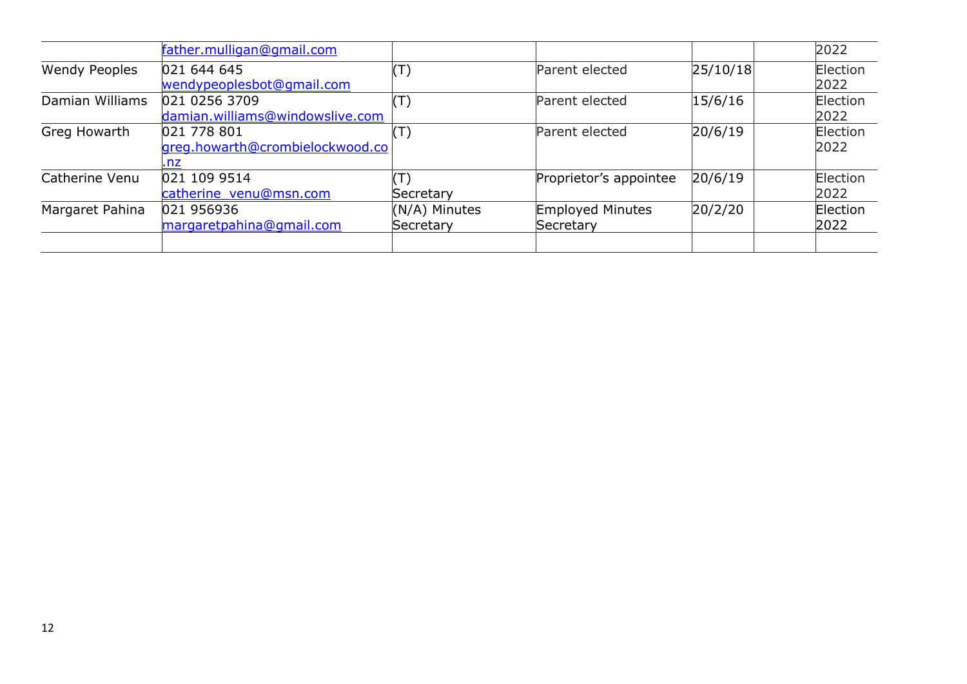|                      | father.mulligan@gmail.com                             |                             |                                      |          | 2022             |
|----------------------|-------------------------------------------------------|-----------------------------|--------------------------------------|----------|------------------|
| <b>Wendy Peoples</b> | 021 644 645<br>wendypeoplesbot@gmail.com              | $(\mathsf{T})$              | Parent elected                       | 25/10/18 | Election<br>2022 |
| Damian Williams      | 021 0256 3709<br>damian.williams@windowslive.com      | $(\mathsf{T})$              | Parent elected                       | 15/6/16  | Election<br>2022 |
| Greg Howarth         | 021 778 801<br>greg.howarth@crombielockwood.co<br>.nz | $(\mathsf{T})$              | Parent elected                       | 20/6/19  | Election<br>2022 |
| Catherine Venu       | 021 109 9514<br>catherine venu@msn.com                | $(\mathsf{T})$<br>Secretary | Proprietor's appointee               | 20/6/19  | Election<br>2022 |
| Margaret Pahina      | 021 956936<br>margaretpahina@gmail.com                | (N/A) Minutes<br>Secretary  | <b>Employed Minutes</b><br>Secretary | 20/2/20  | Election<br>2022 |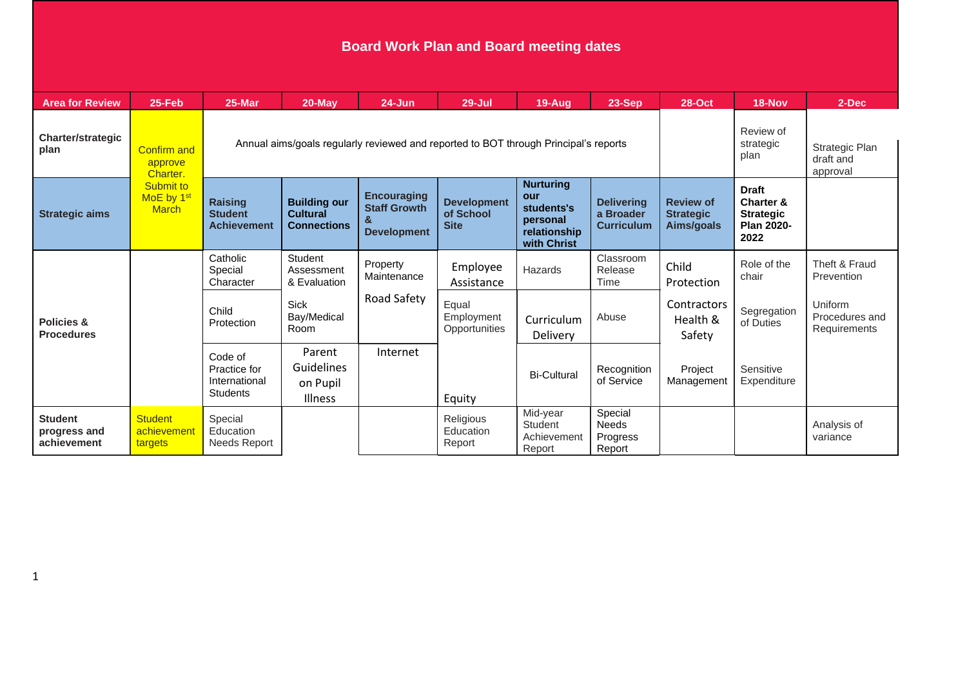# **Board Work Plan and Board meeting dates**

| <b>Area for Review</b>                        | 25-Feb                                              | 25-Mar                                                                               | 20-May                                                       | $24 - Jun$                                                      | $29 -$ Jul                                     | $19-Aug$                                                                         | 23-Sep                                              | <b>28-Oct</b>                                      | 18-Nov                                                                                | 2-Dec                                     |
|-----------------------------------------------|-----------------------------------------------------|--------------------------------------------------------------------------------------|--------------------------------------------------------------|-----------------------------------------------------------------|------------------------------------------------|----------------------------------------------------------------------------------|-----------------------------------------------------|----------------------------------------------------|---------------------------------------------------------------------------------------|-------------------------------------------|
| <b>Charter/strategic</b><br>plan              | <b>Confirm and</b><br>approve<br>Charter.           | Annual aims/goals regularly reviewed and reported to BOT through Principal's reports |                                                              |                                                                 |                                                |                                                                                  |                                                     |                                                    | Review of<br>strategic<br>plan                                                        | Strategic Plan<br>draft and<br>approval   |
| <b>Strategic aims</b>                         | Submit to<br>MoE by 1 <sup>st</sup><br><b>March</b> | <b>Raising</b><br><b>Student</b><br><b>Achievement</b>                               | <b>Building our</b><br><b>Cultural</b><br><b>Connections</b> | <b>Encouraging</b><br><b>Staff Growth</b><br><b>Development</b> | <b>Development</b><br>of School<br><b>Site</b> | <b>Nurturing</b><br>our<br>students's<br>personal<br>relationship<br>with Christ | <b>Delivering</b><br>a Broader<br><b>Curriculum</b> | <b>Review of</b><br><b>Strategic</b><br>Aims/goals | <b>Draft</b><br><b>Charter &amp;</b><br><b>Strategic</b><br><b>Plan 2020-</b><br>2022 |                                           |
| <b>Policies &amp;</b><br><b>Procedures</b>    |                                                     | Catholic<br>Special<br>Character                                                     | Student<br>Assessment<br>& Evaluation                        | Property<br>Maintenance                                         | Employee<br>Assistance                         | Hazards                                                                          | Classroom<br>Release<br>Time                        | Child<br>Protection                                | Role of the<br>chair                                                                  | Theft & Fraud<br>Prevention               |
|                                               |                                                     | Child<br>Protection                                                                  | <b>Sick</b><br>Bay/Medical<br>Room                           | Road Safety                                                     | Equal<br>Employment<br>Opportunities           | Curriculum<br><b>Delivery</b>                                                    | Abuse                                               | Contractors<br>Health &<br>Safety                  | Segregation<br>of Duties                                                              | Uniform<br>Procedures and<br>Requirements |
|                                               |                                                     | Code of<br>Practice for<br>International<br><b>Students</b>                          | Parent<br>Guidelines<br>on Pupil<br>Illness                  | Internet                                                        | Equity                                         | <b>Bi-Cultural</b>                                                               | Recognition<br>of Service                           | Project<br>Management                              | Sensitive<br>Expenditure                                                              |                                           |
| <b>Student</b><br>progress and<br>achievement | <b>Student</b><br>achievement<br>targets            | Special<br>Education<br>Needs Report                                                 |                                                              |                                                                 | Religious<br>Education<br>Report               | Mid-year<br><b>Student</b><br>Achievement<br>Report                              | Special<br><b>Needs</b><br>Progress<br>Report       |                                                    |                                                                                       | Analysis of<br>variance                   |